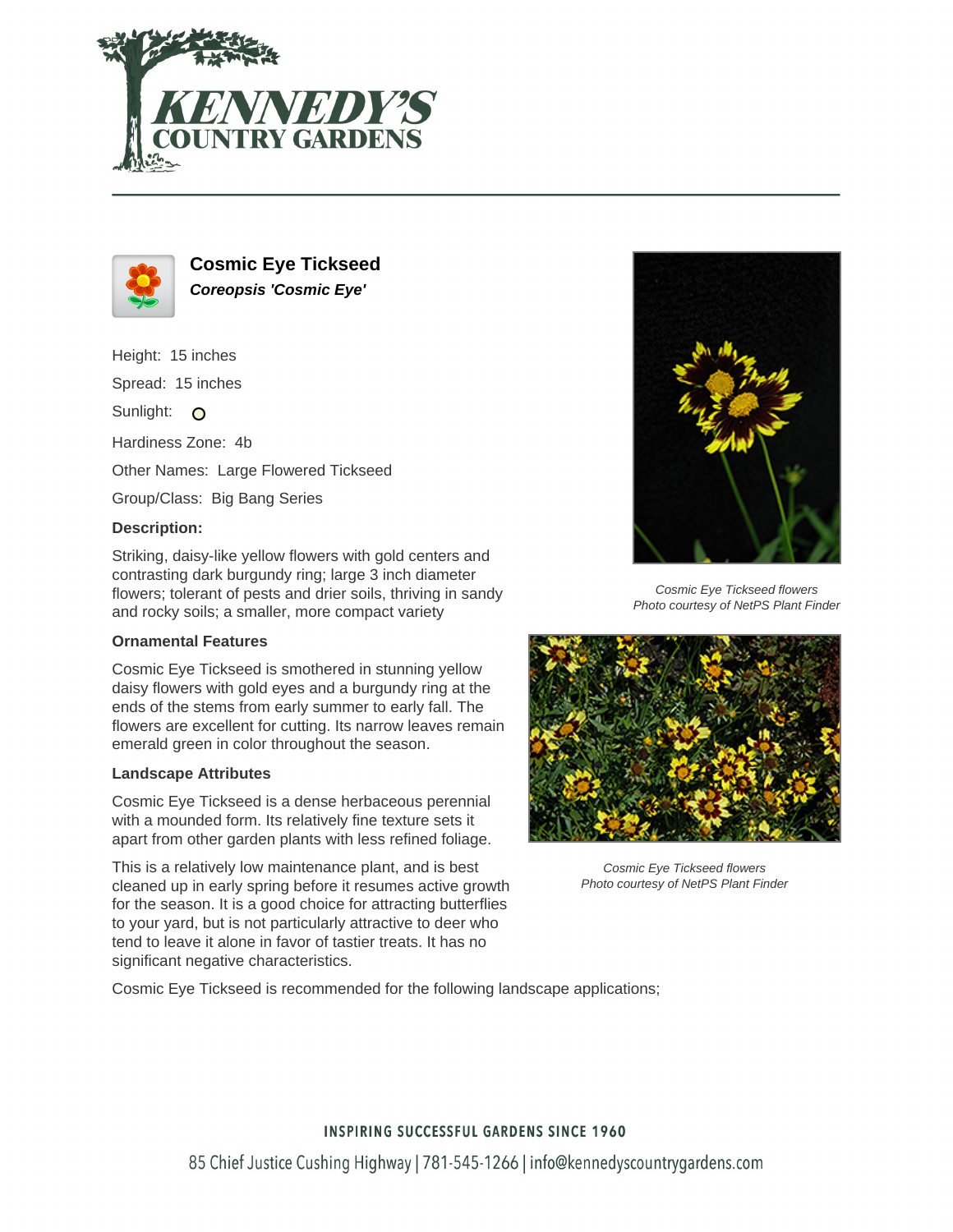



**Cosmic Eye Tickseed Coreopsis 'Cosmic Eye'**

Height: 15 inches Spread: 15 inches Sunlight: O Hardiness Zone: 4b Other Names: Large Flowered Tickseed Group/Class: Big Bang Series **Description:**

Striking, daisy-like yellow flowers with gold centers and contrasting dark burgundy ring; large 3 inch diameter flowers; tolerant of pests and drier soils, thriving in sandy and rocky soils; a smaller, more compact variety

## **Ornamental Features**

Cosmic Eye Tickseed is smothered in stunning yellow daisy flowers with gold eyes and a burgundy ring at the ends of the stems from early summer to early fall. The flowers are excellent for cutting. Its narrow leaves remain emerald green in color throughout the season.

## **Landscape Attributes**

Cosmic Eye Tickseed is a dense herbaceous perennial with a mounded form. Its relatively fine texture sets it apart from other garden plants with less refined foliage.

This is a relatively low maintenance plant, and is best cleaned up in early spring before it resumes active growth for the season. It is a good choice for attracting butterflies to your yard, but is not particularly attractive to deer who tend to leave it alone in favor of tastier treats. It has no significant negative characteristics.



Cosmic Eye Tickseed flowers Photo courtesy of NetPS Plant Finder



Cosmic Eye Tickseed flowers Photo courtesy of NetPS Plant Finder

Cosmic Eye Tickseed is recommended for the following landscape applications;

## **INSPIRING SUCCESSFUL GARDENS SINCE 1960**

85 Chief Justice Cushing Highway | 781-545-1266 | info@kennedyscountrygardens.com